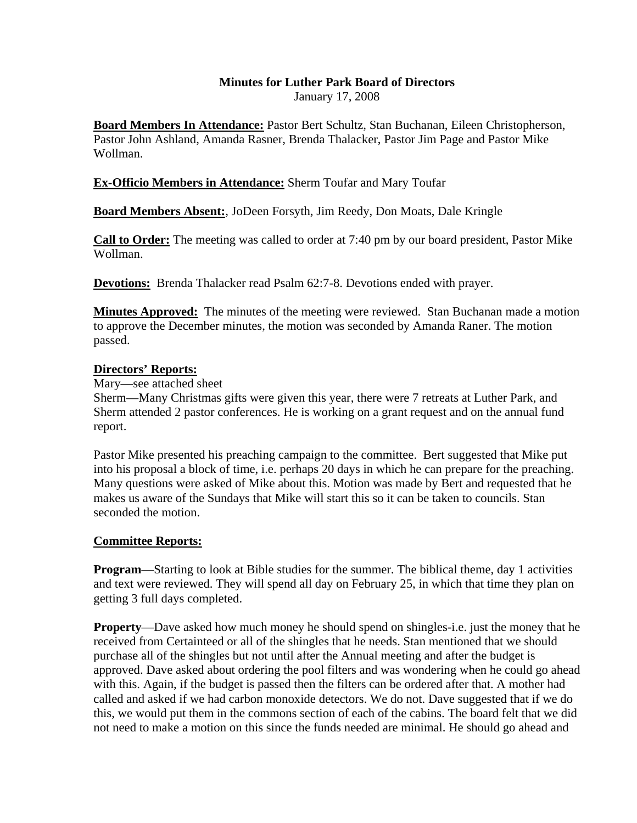# **Minutes for Luther Park Board of Directors**

January 17, 2008

**Board Members In Attendance:** Pastor Bert Schultz, Stan Buchanan, Eileen Christopherson, Pastor John Ashland, Amanda Rasner, Brenda Thalacker, Pastor Jim Page and Pastor Mike Wollman.

### **Ex-Officio Members in Attendance:** Sherm Toufar and Mary Toufar

**Board Members Absent:**, JoDeen Forsyth, Jim Reedy, Don Moats, Dale Kringle

**Call to Order:** The meeting was called to order at 7:40 pm by our board president, Pastor Mike Wollman.

**Devotions:** Brenda Thalacker read Psalm 62:7-8. Devotions ended with prayer.

**Minutes Approved:** The minutes of the meeting were reviewed. Stan Buchanan made a motion to approve the December minutes, the motion was seconded by Amanda Raner. The motion passed.

### **Directors' Reports:**

Mary—see attached sheet

Sherm—Many Christmas gifts were given this year, there were 7 retreats at Luther Park, and Sherm attended 2 pastor conferences. He is working on a grant request and on the annual fund report.

Pastor Mike presented his preaching campaign to the committee. Bert suggested that Mike put into his proposal a block of time, i.e. perhaps 20 days in which he can prepare for the preaching. Many questions were asked of Mike about this. Motion was made by Bert and requested that he makes us aware of the Sundays that Mike will start this so it can be taken to councils. Stan seconded the motion.

### **Committee Reports:**

**Program**—Starting to look at Bible studies for the summer. The biblical theme, day 1 activities and text were reviewed. They will spend all day on February 25, in which that time they plan on getting 3 full days completed.

**Property**—Dave asked how much money he should spend on shingles-i.e. just the money that he received from Certainteed or all of the shingles that he needs. Stan mentioned that we should purchase all of the shingles but not until after the Annual meeting and after the budget is approved. Dave asked about ordering the pool filters and was wondering when he could go ahead with this. Again, if the budget is passed then the filters can be ordered after that. A mother had called and asked if we had carbon monoxide detectors. We do not. Dave suggested that if we do this, we would put them in the commons section of each of the cabins. The board felt that we did not need to make a motion on this since the funds needed are minimal. He should go ahead and